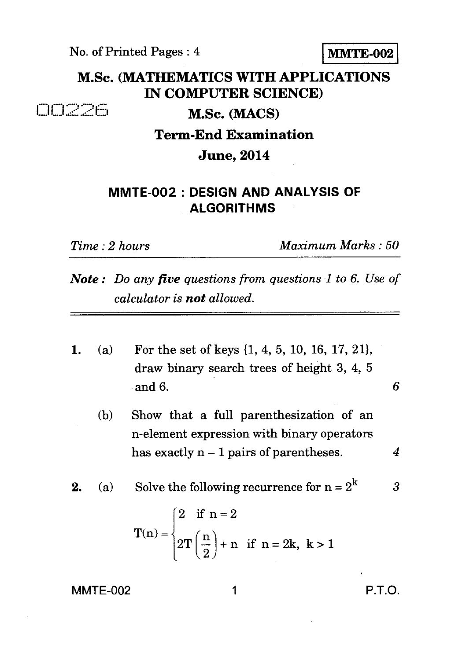No. of Printed Pages : 4 **MMTE-002** 

## **M.Sc. (MATHEMATICS WITH APPLICATIONS IN COMPUTER SCIENCE)**

00226

**M.Sc. (MACS)** 

## **Term-End Examination**

**June, 2014** 

## **MMTE-002 : DESIGN AND ANALYSIS OF ALGORITHMS**

*Time : 2 hours Maximum Marks : 50* 

- *Note : Do any five questions from questions 1 to 6. Use of calculator is not allowed.*
- 1. (a) For the set of keys (1, 4, 5, 10, 16, 17, 21}, draw binary search trees of height 3, 4, 5 and 6. *6* 
	- (b) Show that a full parenthesization of an n-element expression with binary operators has exactly n — 1 pairs of parentheses. *4*

**2.** (a) Solve the following recurrence for  $n = 2^k$  3

$$
T(n) = \begin{cases} 2 & \text{if } n = 2 \\ 2T\left(\frac{n}{2}\right) + n & \text{if } n = 2k, \ k > 1 \end{cases}
$$

MMTE-002 1 P.T.O.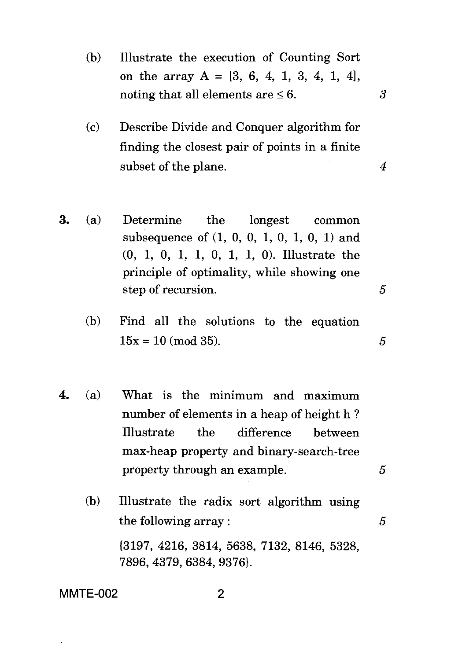- (b) Illustrate the execution of Counting Sort on the array  $A = [3, 6, 4, 1, 3, 4, 1, 4]$ , noting that all elements are  $\leq 6$ . 3
- (c) Describe Divide and Conquer algorithm for finding the closest pair of points in a finite subset of the plane. 4
- 3. (a) Determine the longest common subsequence of (1, 0, 0, 1, 0, 1, 0, 1) and (0, 1, 0, 1, 1, 0, 1, 1, 0). Illustrate the principle of optimality, while showing one step of recursion. 5
	- (b) Find all the solutions to the equation  $15x = 10 \pmod{35}$ .
- 4. (a) What is the minimum and maximum number of elements in a heap of height h ? Illustrate the difference between max-heap property and binary-search-tree property through an example.  $5$ 
	- (b) Illustrate the radix sort algorithm using the following array :  $\qquad \qquad 5$ {3197, 4216, 3814, 5638, 7132, 8146, 5328, 7896, 4379, 6384, 9376}.

**MMTE-002 2**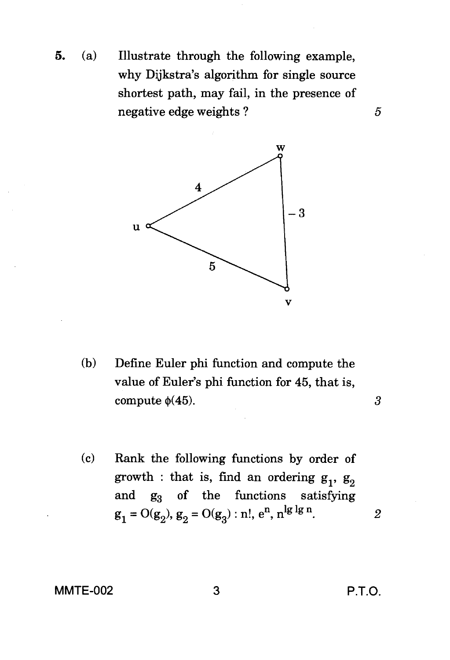**5.** (a) Illustrate through the following example, why Dijkstra's algorithm for single source shortest path, may fail, in the presence of negative edge weights ?



- (b) Define Euler phi function and compute the value of Euler's phi function for 45, that is, compute  $\phi(45)$ .
- (c) Rank the following functions by order of growth : that is, find an ordering  $g_1$ ,  $g_2$ and  $g_3$  of the functions satisfying  $g_1 = O(g_2), g_2 = O(g_3)$ : n!, e<sup>n</sup>, n<sup>1g 1g n</sup>.

## **MMTE-002 3 P.T.O.**

 $\boldsymbol{\beta}$ 

 $\boldsymbol{2}$ 

5